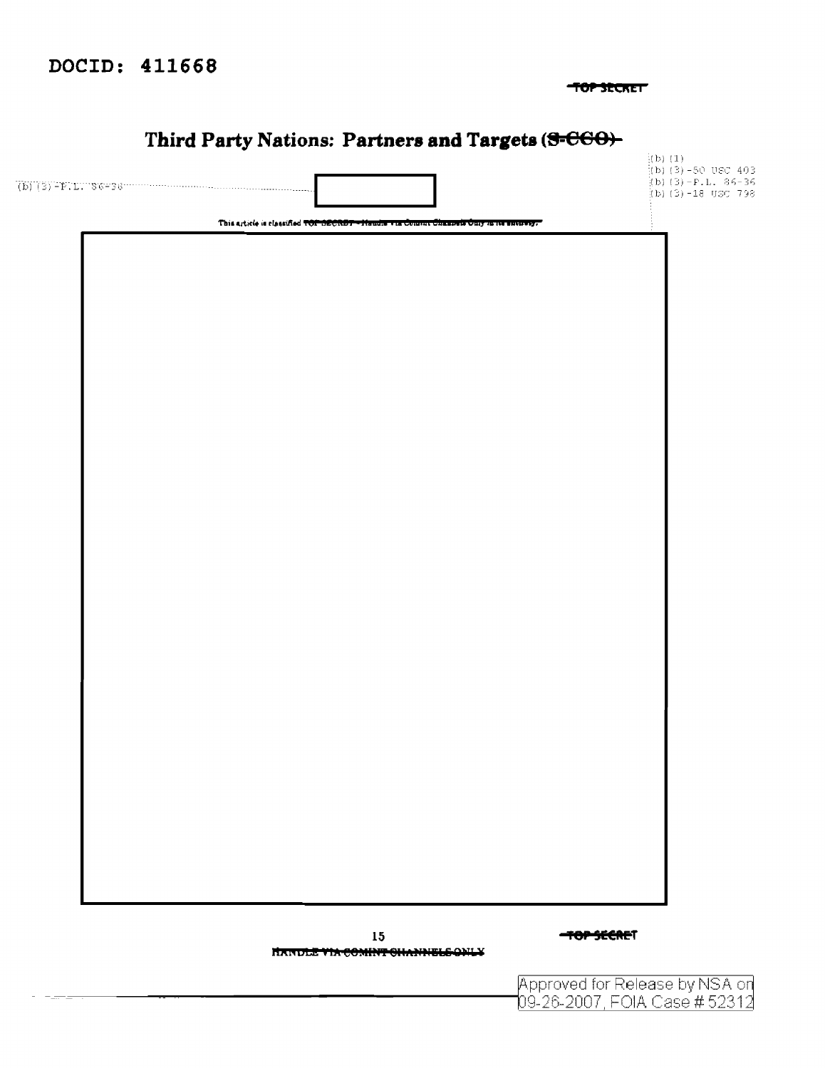## DOCID: 411668

TOP SECRET

# Third Party Nations: Partners and Targets (S-C60)-

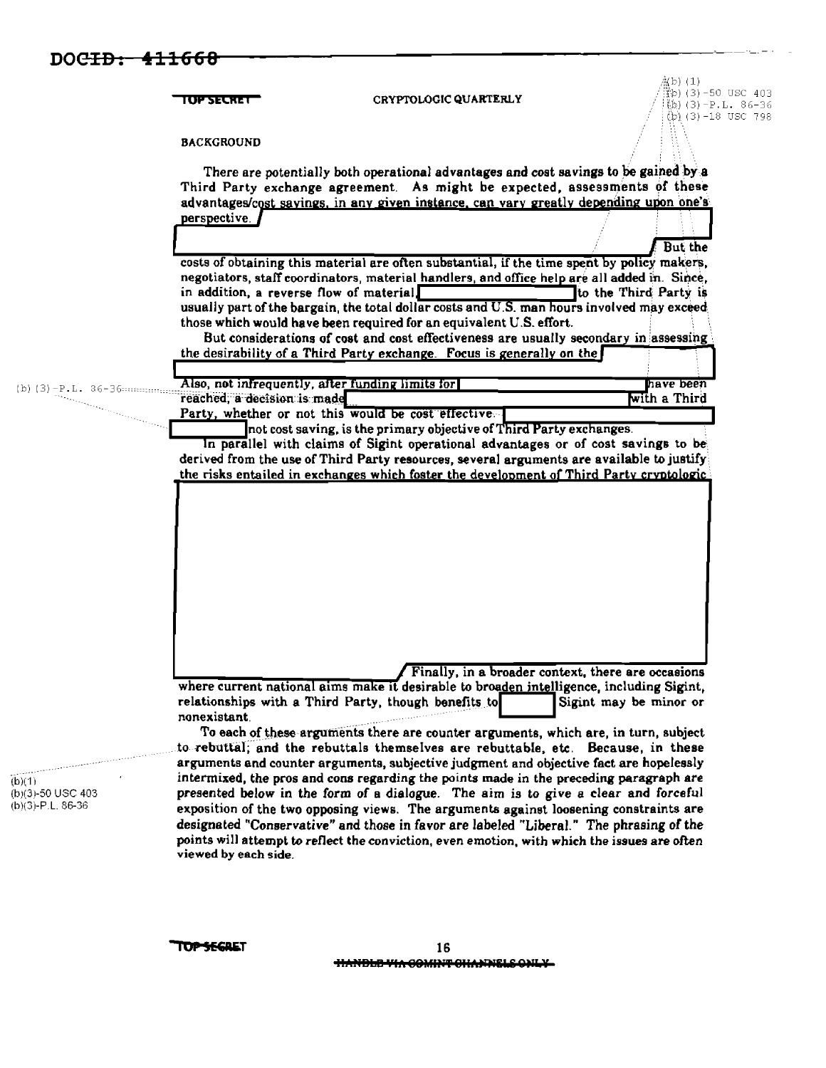|                                | I OP SECRET                                                          | CRYPTOLOGIC QUARTERLY                                                                                                                                                                                                                                                                                                                                                                                                                                                                                                             | $(3) - 50$ USC 403<br>(b)(3)-P.L. 86-36<br>(b) (3)-18 USC 798 |
|--------------------------------|----------------------------------------------------------------------|-----------------------------------------------------------------------------------------------------------------------------------------------------------------------------------------------------------------------------------------------------------------------------------------------------------------------------------------------------------------------------------------------------------------------------------------------------------------------------------------------------------------------------------|---------------------------------------------------------------|
|                                | <b>BACKGROUND</b>                                                    |                                                                                                                                                                                                                                                                                                                                                                                                                                                                                                                                   |                                                               |
|                                | perspective.                                                         | There are potentially both operational advantages and cost savings to be gained by a<br>Third Party exchange agreement. As might be expected, assessments of these<br>advantages/cost sayings, in any given instance, can vary greatly depending upon one's                                                                                                                                                                                                                                                                       |                                                               |
|                                |                                                                      |                                                                                                                                                                                                                                                                                                                                                                                                                                                                                                                                   | But the                                                       |
|                                | in addition, a reverse flow of material.                             | costs of obtaining this material are often substantial, if the time spent by policy makers,<br>negotiators, staff coordinators, material handlers, and office help are all added in. Since,<br>usually part of the bargain, the total dollar costs and U.S. man hours involved may exceed<br>those which would have been required for an equivalent U.S. effort.<br>But considerations of cost and cost effectiveness are usually secondary in assessing<br>the desirability of a Third Party exchange. Focus is generally on the | to the Third Party is                                         |
|                                | Also, not infrequently, after funding limits for                     |                                                                                                                                                                                                                                                                                                                                                                                                                                                                                                                                   | have been                                                     |
| $(b)$ $(3) - P$ . L. $36 - 36$ | reached, a decision is made                                          |                                                                                                                                                                                                                                                                                                                                                                                                                                                                                                                                   | with a Third                                                  |
|                                | Party, whether or not this would be cost effective.                  |                                                                                                                                                                                                                                                                                                                                                                                                                                                                                                                                   |                                                               |
|                                |                                                                      | not cost saving, is the primary objective of Third Party exchanges.<br>In parallel with claims of Sigint operational advantages or of cost savings to be<br>derived from the use of Third Party resources, several arguments are available to justify<br>the risks entailed in exchanges which foster the development of Third Party cryptologic.                                                                                                                                                                                 |                                                               |
|                                |                                                                      |                                                                                                                                                                                                                                                                                                                                                                                                                                                                                                                                   |                                                               |
|                                |                                                                      | Finally, in a broader context, there are occasions<br>where current national aims make it desirable to broaden intelligence, including Sigint,                                                                                                                                                                                                                                                                                                                                                                                    |                                                               |
|                                | relationships with a Third Party, though benefits to<br>nonexistant. | To each of these arguments there are counter arguments, which are, in turn, subject<br>to rebuttal; and the rebuttals themselves are rebuttable, etc. Because, in these<br>arguments and counter arguments, subjective judgment and objective fact are hopelessly                                                                                                                                                                                                                                                                 | Sigint may be minor or                                        |

**TOPSEGRET**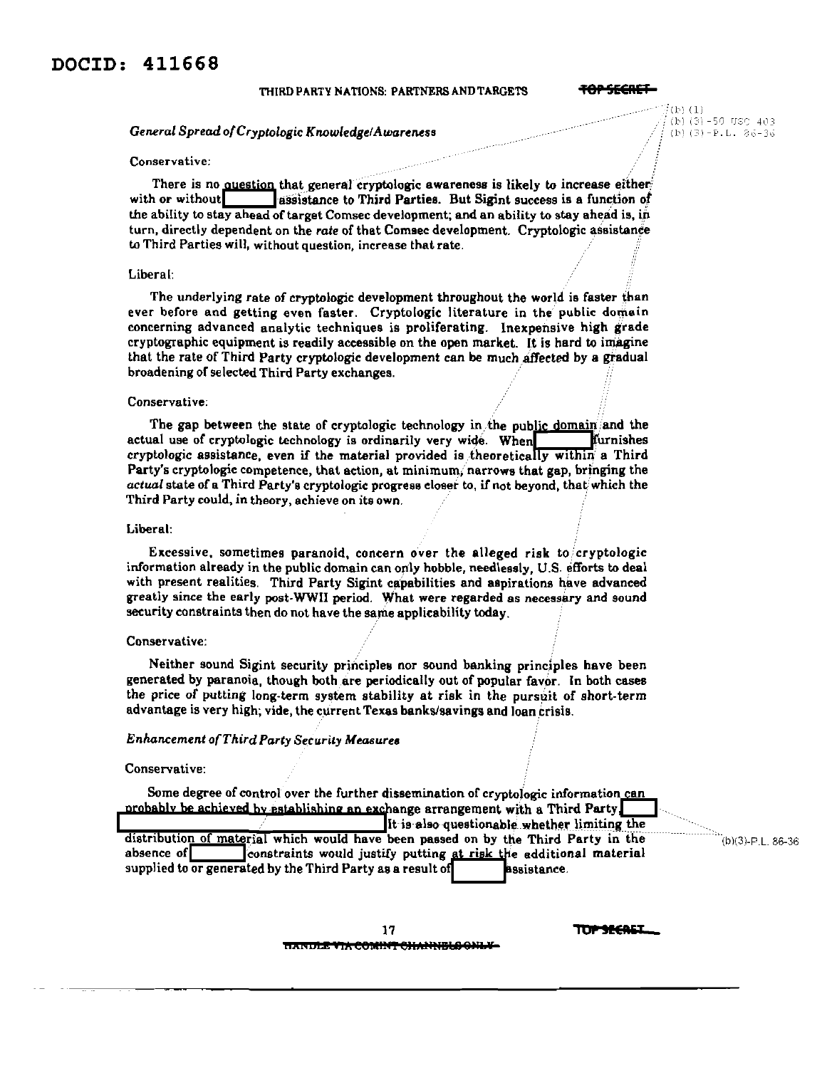### THIRD PARTY NATIONS: PARTNERS AND TARGETS

<del>TOP SECRET</del>

 $(15)$   $(1)$ 

 $(b)$  (3) -50 USC 403

(b)  $(3) - P$ , L,  $26 - 36$ 

## General Spread of Cryptologic Knowledge/Awareness

## Conservative:

There is no question that general cryptologic awareness is likely to increase either with or without lassistance to Third Parties. But Sigint success is a function of the ability to stay ahead of target Comsec development; and an ability to stay ahead is, in turn, directly dependent on the rate of that Comsec development. Cryptologic assistance to Third Parties will, without question, increase that rate.

### Liberal:

The underlying rate of cryptologic development throughout the world is faster than ever before and getting even faster. Cryptologic literature in the public domain concerning advanced analytic techniques is proliferating. Inexpensive high grade cryptographic equipment is readily accessible on the open market. It is hard to imagine that the rate of Third Party cryptologic development can be much affected by a gradual broadening of selected Third Party exchanges.

#### Conservative:

The gap between the state of cryptologic technology in the public domain and the actual use of cryptologic technology is ordinarily very wide. When furnishes cryptologic assistance, even if the material provided is theoretically within a Third Party's cryptologic competence, that action, at minimum, narrows that gap, bringing the actual state of a Third Party's cryptologic progress closer to, if not beyond, that which the Third Party could, in theory, achieve on its own.

## Liberal:

Excessive, sometimes paranoid, concern over the alleged risk to cryptologic information already in the public domain can only hobble, needlessly, U.S. efforts to deal with present realities. Third Party Sigint capabilities and aspirations have advanced greatly since the early post-WWII period. What were regarded as necessary and sound security constraints then do not have the same applicability today.

#### Conservative:

Neither sound Sigint security principles nor sound banking principles have been generated by paranoia, though both are periodically out of popular favor. In both cases the price of putting long-term system stability at risk in the pursuit of short-term advantage is very high; vide, the current Texas banks/savings and loan crisis.

## Enhancement of Third Party Security Measures

#### Conservative:

Some degree of control over the further dissemination of cryptologic information can probably be achieved by establishing an exchange arrangement with a Third Party. It is also questionable whether limiting the distribution of material which would have been passed on by the Third Party in the absence of constraints would justify putting at risk the additional material supplied to or generated by the Third Party as a result of **assistance** 

 $(b)(3)-P.L. 86-36$ 



**TOP SECALL** 

<u>ttanule via comint channels onl</u>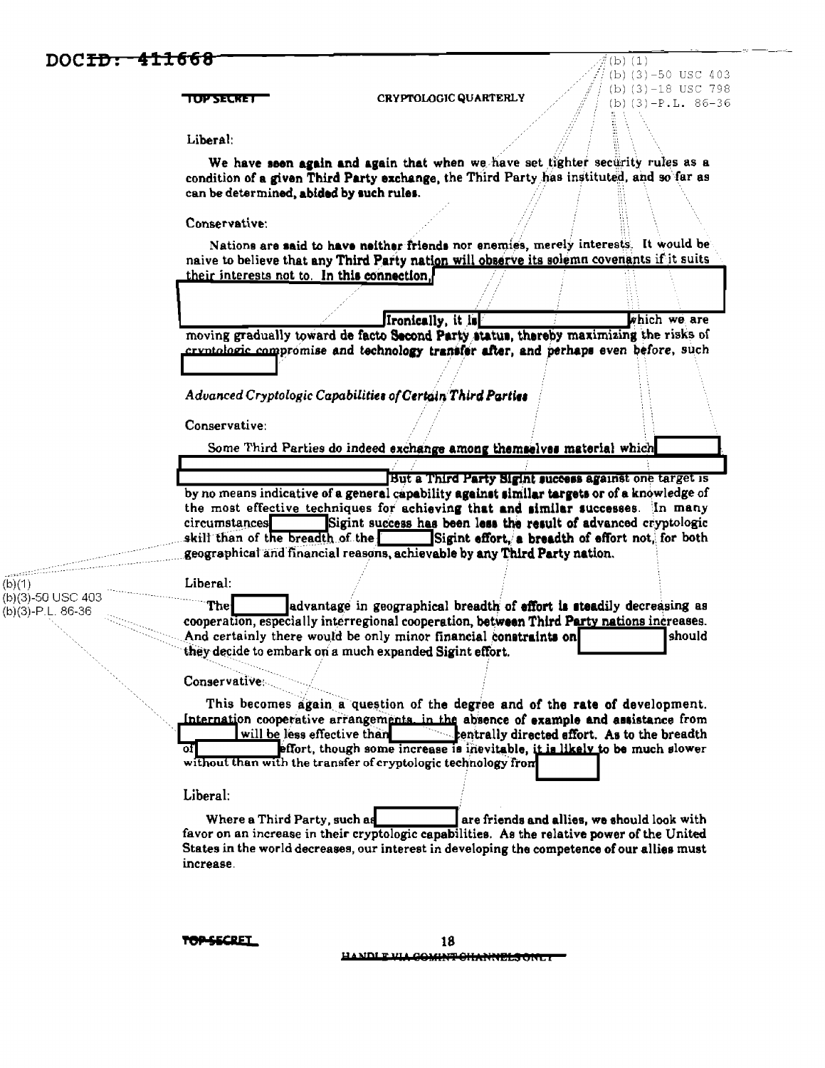ومسر  $(b)(1)$ 

(b)(3)-50 USC 403

 $(b)(3)-P.L. 86-36$ 

 $(b)$  $(1)$ (b)  $(3) - 50$  USC 403 (b)  $(3) - 18$  USC 798 **TOP SECTE** CRYPTOLOGIC QUARTERLY (b)  $(3)-P$ . L. 86-36 Liberal: We have seen again and again that when we have set tighter security rules as a condition of a given Third Party exchange, the Third Party has instituted, and so far as can be determined, abided by such rules. Conservative: Nations are said to have neither friends nor enemies, merely interests. It would be naive to believe that any Third Party nation will observe its solemn covenants if it suits their interests not to. In this connection. Ironically, it is which we are moving gradually toward de facto Second Party status, thereby maximizing the risks of cryptologic compromise and technology transfer after, and perhaps even before, such Advanced Cryptologic Capabilities of Certain Third Parties Conservative: Some Third Parties do indeed exchange among themselves material which But a Third Party Sigint success against one target is by no means indicative of a general capability against similar targets or of a knowledge of the most effective techniques for achieving that and similar successes. In many circumstances Sigint success has been less the result of advanced cryptologic skill than of the breadth of the Sigint effort, a breadth of effort not, for both geographical and financial reasons, achievable by any Third Party nation. Liberal: The advantage in geographical breadth of effort is steadily decreasing as cooperation, especially interregional cooperation, between Third Party nations increases. And certainly there would be only minor financial constraints on should they decide to embark on a much expanded Sigint effort. Conservative This becomes again a question of the degree and of the rate of development. Internation cooperative arrangements, in the absence of example and assistance from will be less effective than **Example 1.5 Finally directed effort.** As to the breadth effort, though some increase is inevitable, it is likely to be much slower οf without than with the transfer of cryptologic technology from Liberal: Where a Third Party, such as are friends and allies, we should look with favor on an increase in their cryptologic capabilities. As the relative power of the United States in the world decreases, our interest in developing the competence of our allies must increase.

**OP-SECRET** 

18 **NDLP VLA** GOMME OHANNELSOM .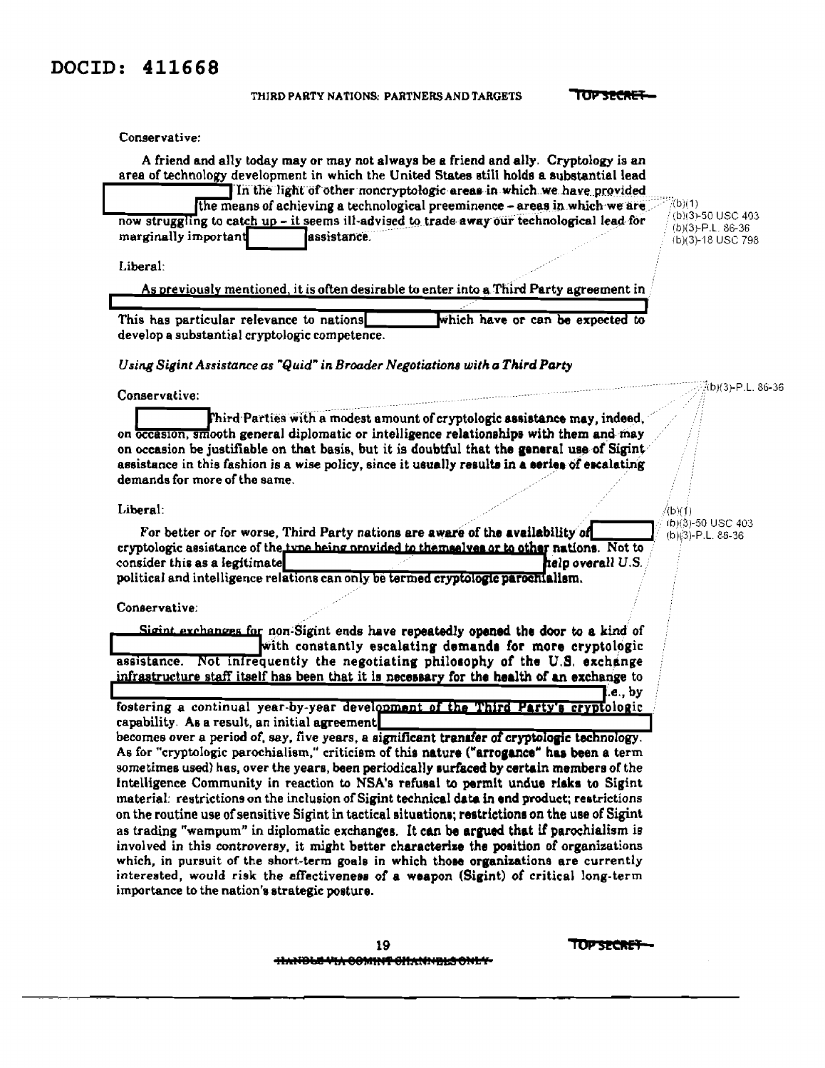## DOCID: 411668

|  | THIRD PARTY NATIONS. PARTNERS AND TARGETS |  |
|--|-------------------------------------------|--|
|  |                                           |  |

TOP SECRET-

Conservative:

| A friend and ally today may or may not always be a friend and ally. Cryptology is an<br>area of technology development in which the United States still holds a substantial lead                                                                                                                                                                                                                                                                                                                                      |                                                         |                   |                                          |
|-----------------------------------------------------------------------------------------------------------------------------------------------------------------------------------------------------------------------------------------------------------------------------------------------------------------------------------------------------------------------------------------------------------------------------------------------------------------------------------------------------------------------|---------------------------------------------------------|-------------------|------------------------------------------|
| In the light of other noncryptologic areas in which we have provided                                                                                                                                                                                                                                                                                                                                                                                                                                                  |                                                         |                   |                                          |
| the means of achieving a technological preeminence - areas in which we are                                                                                                                                                                                                                                                                                                                                                                                                                                            |                                                         |                   | (b)(1)<br>(b)(3)-50 USC 403              |
| now struggling to catch up - it seems ill-advised to trade away our technological lead for<br>marginally important<br>assistance.                                                                                                                                                                                                                                                                                                                                                                                     |                                                         |                   | $(b)(3)-P.L. 86-36$<br>(b)(3)-18 USC 798 |
| Liberal:                                                                                                                                                                                                                                                                                                                                                                                                                                                                                                              |                                                         |                   |                                          |
| As previously mentioned, it is often desirable to enter into a Third Party agreement in                                                                                                                                                                                                                                                                                                                                                                                                                               |                                                         |                   |                                          |
|                                                                                                                                                                                                                                                                                                                                                                                                                                                                                                                       |                                                         |                   |                                          |
| This has particular relevance to nations<br>develop a substantial cryptologic competence.                                                                                                                                                                                                                                                                                                                                                                                                                             | which have or can be expected to                        |                   |                                          |
| Using Sigint Assistance as "Quid" in Broader Negotiations with a Third Party                                                                                                                                                                                                                                                                                                                                                                                                                                          |                                                         |                   |                                          |
| Conservative:                                                                                                                                                                                                                                                                                                                                                                                                                                                                                                         |                                                         |                   | b)(3)-P.L. 86-36                         |
| Third Parties with a modest amount of cryptologic assistance may, indeed,<br>on occasion, smooth general diplomatic or intelligence relationships with them and may<br>on occasion be justifiable on that basis, but it is doubtful that the general use of Sigint<br>assistance in this fashion is a wise policy, since it usually results in a series of escalating<br>demands for more of the same.                                                                                                                |                                                         |                   |                                          |
| Liberal:                                                                                                                                                                                                                                                                                                                                                                                                                                                                                                              |                                                         |                   | 4b)(1)                                   |
| cryptologic assistance of the type heing provided to themselves or to other nations. Not to<br>consider this as a legitimate<br>political and intelligence relations can only be termed cryptologic parochialism.                                                                                                                                                                                                                                                                                                     |                                                         | help overall U.S. |                                          |
| Conservative:                                                                                                                                                                                                                                                                                                                                                                                                                                                                                                         |                                                         |                   |                                          |
| Sigint exchanges for non-Sigint ends have repeatedly opened the door to a kind of<br>assistance. Not infrequently the negotiating philosophy of the U.S. exchange<br>infrastructure staff itself has been that it is necessary for the health of an exchange to                                                                                                                                                                                                                                                       | with constantly escalating demands for more cryptologic | .e., by           |                                          |
| fostering a continual year-by-year development of the Third Party's cryptologic<br>capability. As a result, an initial agreement                                                                                                                                                                                                                                                                                                                                                                                      |                                                         |                   |                                          |
| becomes over a period of, say, five years, a significant transfer of cryptologic technology.<br>As for "cryptologic parochialism," criticism of this nature ("arrogance" has been a term<br>sometimes used) has, over the years, been periodically surfaced by certain members of the<br>Intelligence Community in reaction to NSA's refusal to permit undue risks to Sigint<br>material: restrictions on the inclusion of Sigint technical data in end product; restrictions                                         |                                                         |                   |                                          |
| on the routine use of sensitive Sigint in tactical situations; restrictions on the use of Sigint<br>as trading "wampum" in diplomatic exchanges. It can be argued that if parochialism is<br>involved in this controversy, it might better characterize the position of organizations<br>which, in pursuit of the short-term goals in which those organizations are currently<br>interested, would risk the effectiveness of a weapon (Sigint) of critical long-term<br>importance to the nation's strategic posture. |                                                         |                   |                                          |
| 19                                                                                                                                                                                                                                                                                                                                                                                                                                                                                                                    |                                                         | TOPSPCRE          |                                          |

**HANDLE VIA COMINT CHANNELS ONLY-**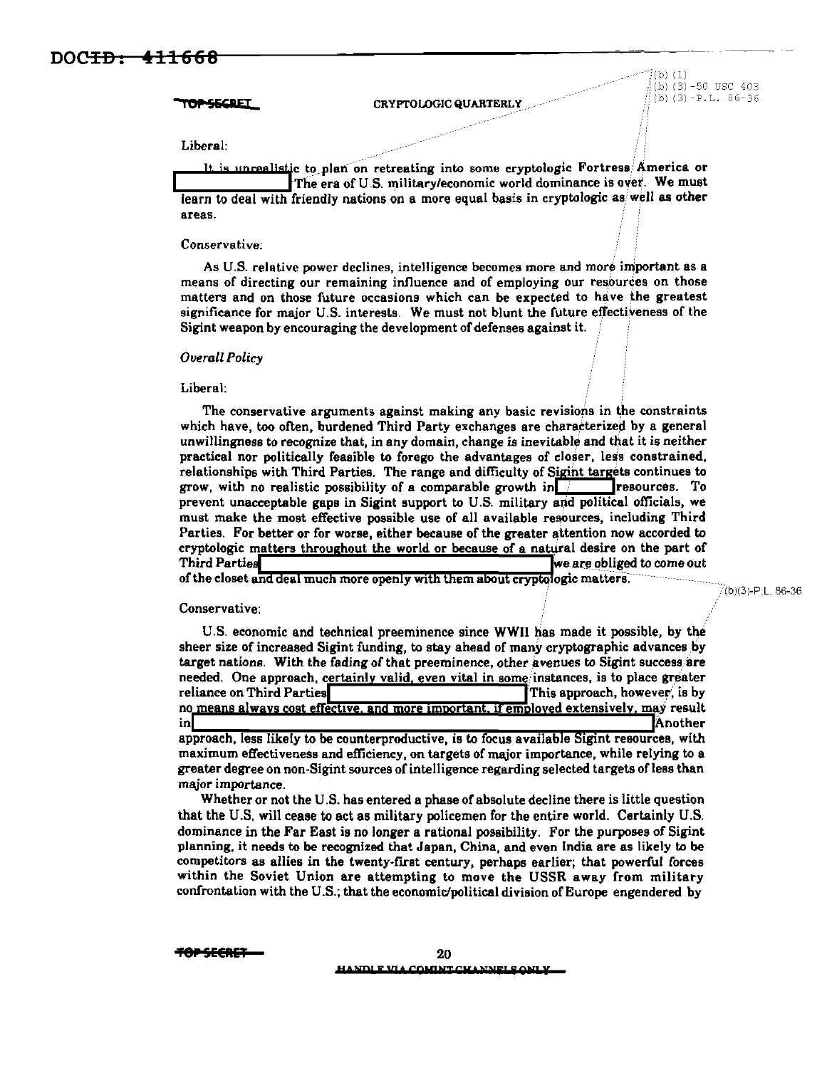**OP-SECRET** 

CRYPTOLOGIC QUARTERLY

 $\langle$ (b)  $(1)$ (b)  $(3)$  -50 USC 403 (b)  $(3) - P$  L  $86-36$ 

Liberal:

unrealistic to plan on retreating into some cryptologic Fortress America or The era of U.S. military/economic world dominance is over. We must learn to deal with friendly nations on a more equal basis in cryptologic as well as other areas.

Conservative:

As U.S. relative power declines, intelligence becomes more and more important as a means of directing our remaining influence and of employing our resources on those matters and on those future occasions which can be expected to have the greatest significance for major U.S. interests. We must not blunt the future effectiveness of the Sigint weapon by encouraging the development of defenses against it.

**Overall Policy** 

#### Liberal:

The conservative arguments against making any basic revisions in the constraints which have, too often, burdened Third Party exchanges are characterized by a general unwillingness to recognize that, in any domain, change is inevitable and that it is neither practical nor politically feasible to forego the advantages of closer, less constrained, relationships with Third Parties. The range and difficulty of Sigint targets continues to grow, with no realistic possibility of a comparable growth in  $\Box$ resources. To prevent unacceptable gaps in Sigint support to U.S. military and political officials, we must make the most effective possible use of all available resources, including Third Parties. For better or for worse, either because of the greater attention now accorded to cryptologic matters throughout the world or because of a natural desire on the part of **Third Parties** we are obliged to come out

of the closet and deal much more openly with them about cryptologic matters.

(b)(3)-P.L. 86-36

## Conservative:

U.S. economic and technical preeminence since WWII has made it possible, by the sheer size of increased Sigint funding, to stay ahead of many cryptographic advances by target nations. With the fading of that preeminence, other avenues to Sigint success are needed. One approach, certainly valid, even vital in some instances, is to place greater reliance on Third Parties This approach, however, is by no means always cost effective, and more important, if employed extensively, may result inl **Another** approach, less likely to be counterproductive, is to focus available Sigint resources, with maximum effectiveness and efficiency, on targets of major importance, while relying to a greater degree on non-Sigint sources of intelligence regarding selected targets of less than major importance.

Whether or not the U.S. has entered a phase of absolute decline there is little question that the U.S. will cease to act as military policemen for the entire world. Certainly U.S. dominance in the Far East is no longer a rational possibility. For the purposes of Sigint planning, it needs to be recognized that Japan, China, and even India are as likely to be competitors as allies in the twenty-first century, perhaps earlier; that powerful forces within the Soviet Union are attempting to move the USSR away from military confrontation with the U.S.; that the economic/political division of Europe engendered by

<del>10PSECAE</del>3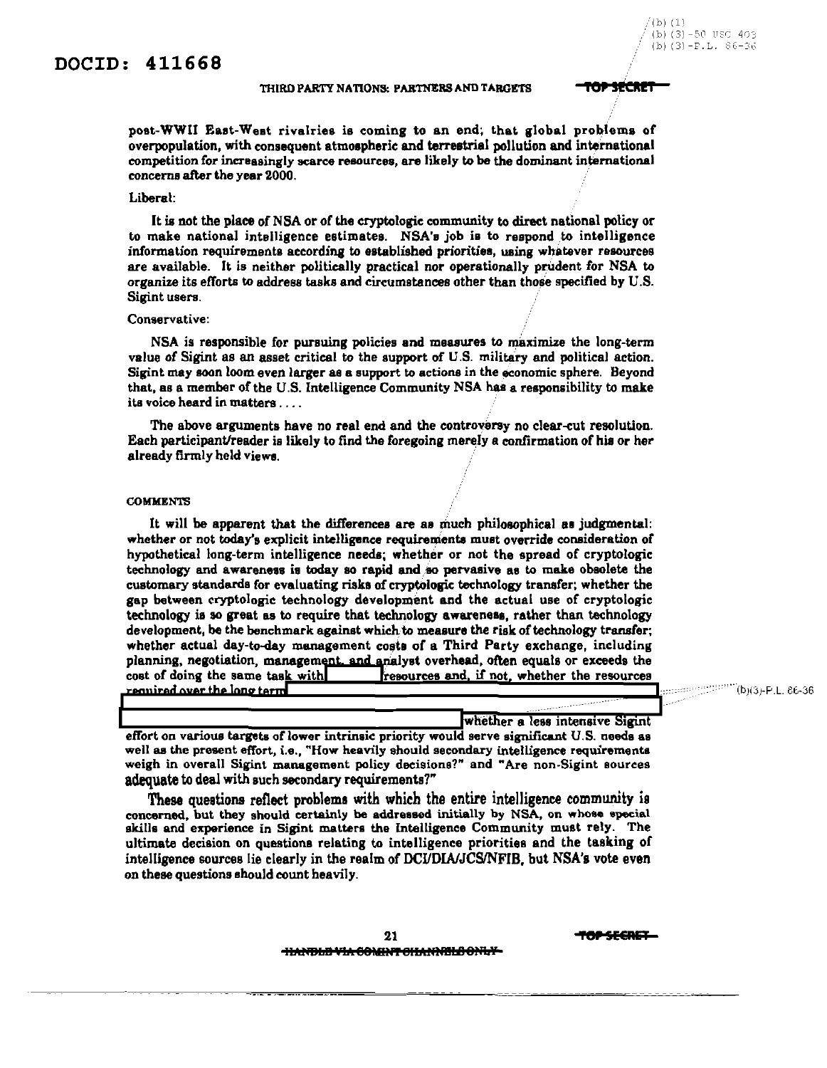## THIRD PARTY NATIONS: PARTNERS AND TARGETS **TOP SECRET**

/(b) (1

' (b) (3 -5l' ll~'(~ 403 (b)  $(3) - F.L. 86 - 36$ 

post-WWII Eaat-Weat rivalries is coming to an end; that global problems of overpopulation, with consequent atmoepheric and terrestrial pollution and international competition for increasingly scarce resources, are likely to be the dominant international concerns after the year 2000.

#### Liberal:

It ia not the place of NSA or of the cryptologic community to direct national policy or to make national intelligence estimates. NSA'a job is to respond to intelligence information requirements according to established priorities, using whatever resources are available. It is neither politically practical nor operationally prudent for NSA to organize its efforts to address tasks and circumatances other than those specified by U.S. Sigint users.

### Conservative:

NSA is responsible for pursuing policies and measures to maximize the long-term value of Sigint as an asset critical to the support of U.S. military and political action. Sigint may soon loom even larger as a support to actions in the economic sphere. Beyond that, as a member of the U.S. Intelligence Community NSA ha's a responsibility to make its voice heard in matters ....

The above arguments have no real end and the controversy no clear~ut resolution. Each perticipent/reader is likely to find the foregoing merely a confirmation of hia or her already firmly held views. ·

#### **COMMENTS**

It will be apparent that the differences are as much philosophical as judgmental: whether or not today's explicit intelligence requirements must override consideration of hypothetical long-term intelligence needs; whether or not the spread of cryptologic technology and awareness is today so rapid and so pervasive as to make obsolete the customary standards for evaluating risks of cryptologic technology transfer; whether the gap between cryptologic technology development and the actual use of cryptologic technology ia so great as to require that technology awarenesa, rather than technology development, be the benchmark against which to measure the risk of technology tranafer; whether actual day-to-day management costs of a Third Party exchange, including planning, negotiation, management, and analyst overhead, often equals or exceeds the cost of doing the same task with  $\frac{1}{2}$  resources and, if not, whether the resources required over the long term

..... (bJi3J-P.L. 86-36

whether a less intensive Sigint effort on various targets of lower intrinsic priority would serve significant U.S. needs as well as the present effort, i.e., "How heavily should secondary intelligence requirements **weigh in overall Sigint management policy decisions?" and "Are non-Sigint sources**  adequate to deal with such secondary requirements?"

These questions reflect problems with which the entire intelligence community is concerned, but they should certainly be addressed initially by NSA, on whose opecial skills and experience in Sigint matters the Intelligence Community must rely. The ultimate decision on questions relating to intelligence priorities and the tasking of intelligence sources lie clearly in the realm of DCI/DIA/JCS/NFIB, but NSA's vote even on these questions should count heavily.